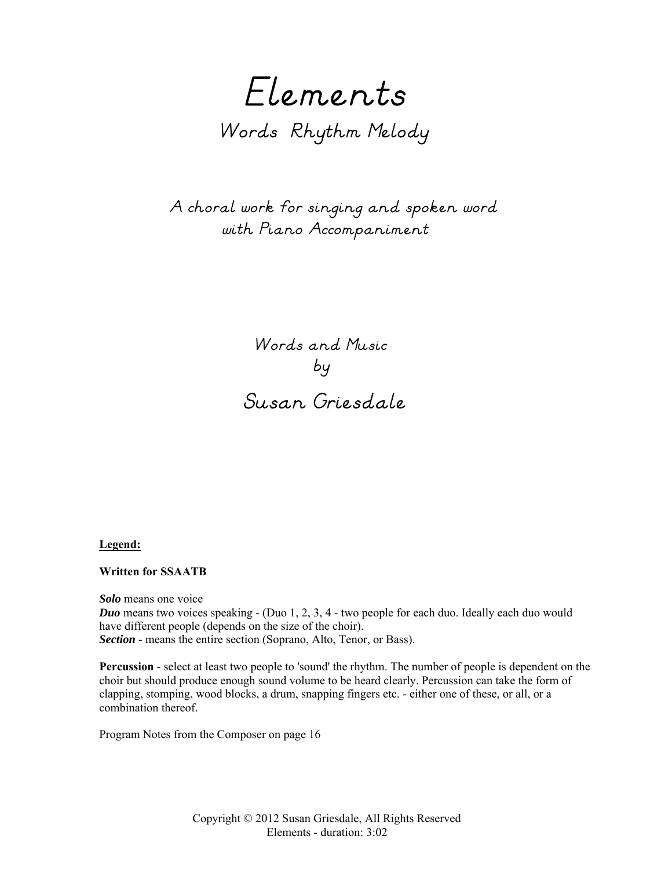Elements Words Rhythm Melody

 A choral work for singing and spoken word with Piano Accompaniment

> Words and Music by Susan Griesdale

**Legend:**

## **Written for SSAATB**

*Solo* means one voice *Duo* means two voices speaking - (Duo 1, 2, 3, 4 - two people for each duo. Ideally each duo would have different people (depends on the size of the choir). *Section* - means the entire section (Soprano, Alto, Tenor, or Bass).

**Percussion** - select at least two people to 'sound' the rhythm. The number of people is dependent on the choir but should produce enough sound volume to be heard clearly. Percussion can take the form of clapping, stomping, wood blocks, a drum, snapping fingers etc. - either one of these, or all, or a combination thereof.

Program Notes from the Composer on page 16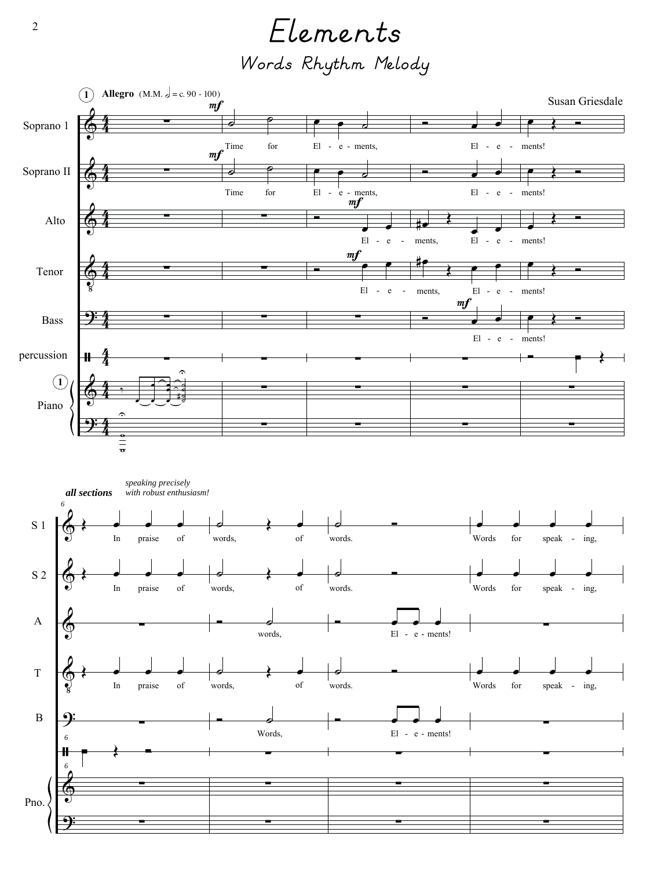Elements Words Rhythm Melody

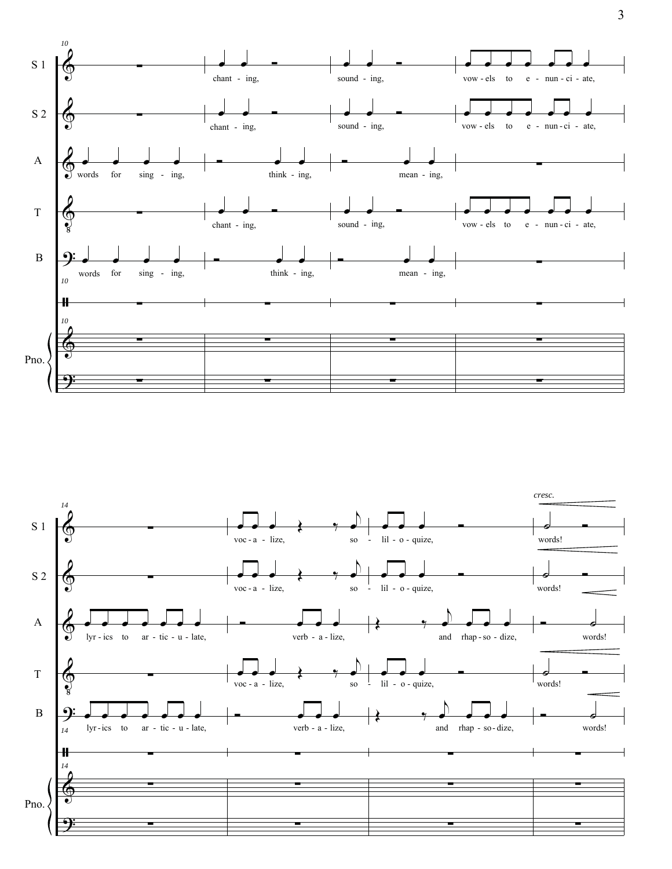



 $\overline{3}$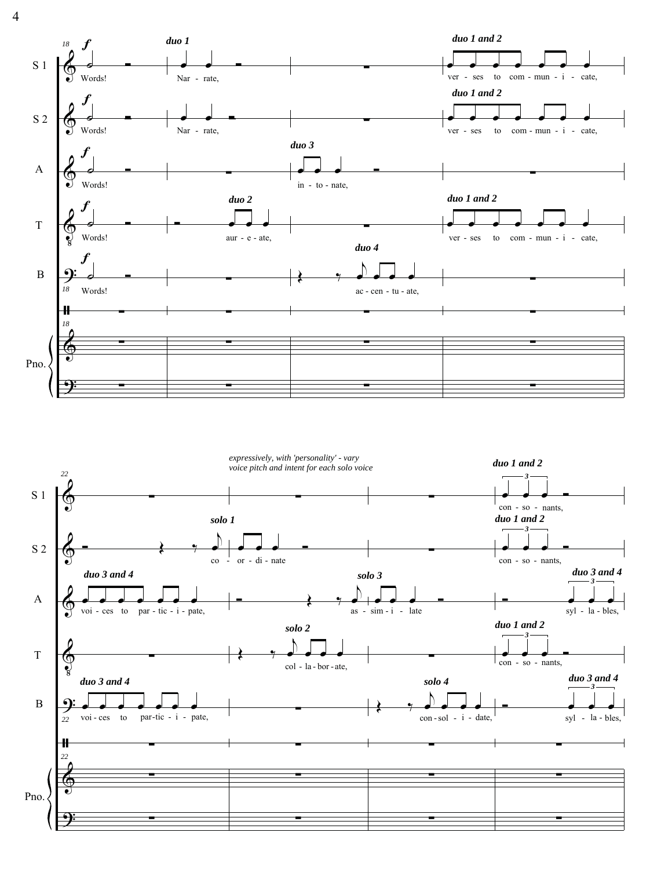duo 1 and 2 duo 1 18 **S** 1 ver - ses  $com - mun - i - cate,$ to Words! Nar - rate, duo 1 and 2 S 2 Words! Nar - rate, ver - ses  ${\rm to}$  $com - mun - i - cate,$  $duo<sub>3</sub>$  $\overline{A}$ Words! in - to - nate,  $duo$  1 and 2 duo 2  $\overline{T}$ Words!  $aur - e - ate$ , to  $com - mun - i - cate,$ ver - ses duo 4 N  $\overline{B}$ 18 Words! ac - cen - tu - ate, 41  $18$ Pno.